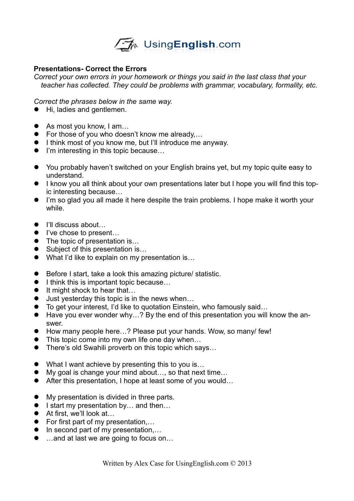

## **Presentations- Correct the Errors**

*Correct your own errors in your homework or things you said in the last class that your teacher has collected. They could be problems with grammar, vocabulary, formality, etc.*

*Correct the phrases below in the same way.*

- $\bullet$  Hi, ladies and gentlemen.
- As most you know, I am...
- For those of you who doesn't know me already,…
- I think most of you know me, but I'll introduce me anyway.
- I'm interesting in this topic because...
- You probably haven't switched on your English brains yet, but my topic quite easy to understand.
- I know you all think about your own presentations later but I hope you will find this topic interesting because…
- I'm so glad you all made it here despite the train problems. I hope make it worth your while.
- I'll discuss about...
- I've chose to present...
- The topic of presentation is...
- Subject of this presentation is...
- What I'd like to explain on my presentation is...
- Before I start, take a look this amazing picture/ statistic.
- $\bullet$  I think this is important topic because...
- $\bullet$  It might shock to hear that...
- Just yesterday this topic is in the news when...
- To get your interest, I'd like to quotation Einstein, who famously said...
- Have you ever wonder why...? By the end of this presentation you will know the answer.
- How many people here...? Please put your hands. Wow, so many/ few!
- This topic come into my own life one day when...
- There's old Swahili proverb on this topic which says...
- What I want achieve by presenting this to you is...
- My goal is change your mind about..., so that next time...
- After this presentation, I hope at least some of you would...
- My presentation is divided in three parts.
- $\bullet$  I start my presentation by... and then...
- At first, we'll look at...
- For first part of my presentation....
- $\bullet$  In second part of my presentation,...
- …and at last we are going to focus on...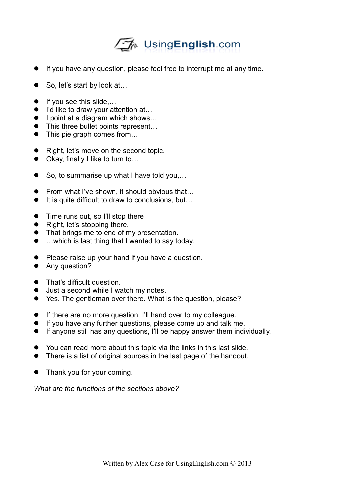## √A UsingEnglish.com

- If you have any question, please feel free to interrupt me at any time.
- So, let's start by look at…
- $\bullet$  If you see this slide....
- I'd like to draw your attention at...
- $\bullet$  I point at a diagram which shows...
- This three bullet points represent...
- This pie graph comes from...
- Right, let's move on the second topic.
- Okay, finally I like to turn to...
- So, to summarise up what I have told you,...
- From what I've shown, it should obvious that...
- $\bullet$  It is quite difficult to draw to conclusions, but...
- Time runs out, so I'll stop there
- $\bullet$  Right, let's stopping there.
- That brings me to end of my presentation.
- …which is last thing that I wanted to say today.
- Please raise up your hand if you have a question.
- Any question?
- That's difficult question.
- $\bullet$  Just a second while I watch my notes.
- Yes. The gentleman over there. What is the question, please?
- **If there are no more question, I'll hand over to my colleague.**
- If you have any further questions, please come up and talk me.
- If anyone still has any questions, I'll be happy answer them individually.
- You can read more about this topic via the links in this last slide.
- There is a list of original sources in the last page of the handout.
- Thank you for your coming.

*What are the functions of the sections above?*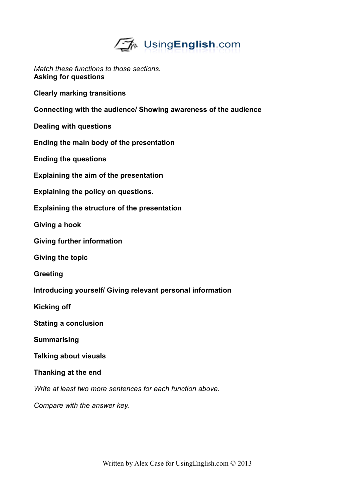

*Match these functions to those sections.* **Asking for questions**

**Clearly marking transitions**

**Connecting with the audience/ Showing awareness of the audience**

**Dealing with questions**

**Ending the main body of the presentation**

**Ending the questions**

**Explaining the aim of the presentation**

**Explaining the policy on questions.**

**Explaining the structure of the presentation**

**Giving a hook**

**Giving further information**

**Giving the topic**

**Greeting**

**Introducing yourself/ Giving relevant personal information**

**Kicking off**

**Stating a conclusion**

**Summarising**

**Talking about visuals**

**Thanking at the end**

*Write at least two more sentences for each function above.*

*Compare with the answer key.*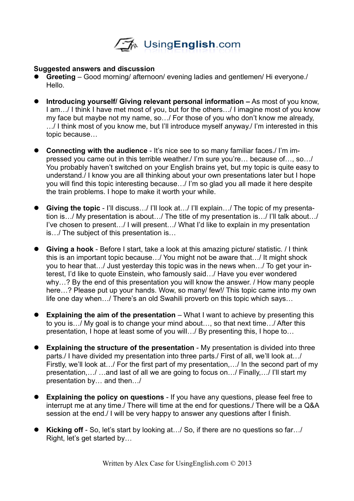

## **Suggested answers and discussion**

- **Greeting** Good morning/ afternoon/ evening ladies and gentlemen/ Hi everyone./ Hello.
- **Introducing yourself/ Giving relevant personal information** As most of you know, I am…/ I think I have met most of you, but for the others…/ I imagine most of you know my face but maybe not my name, so…/ For those of you who don't know me already, …/ I think most of you know me, but I'll introduce myself anyway./ I'm interested in this topic because…
- **Connecting with the audience** It's nice see to so many familiar faces./ I'm impressed you came out in this terrible weather./ I'm sure you're… because of…, so…/ You probably haven't switched on your English brains yet, but my topic is quite easy to understand./ I know you are all thinking about your own presentations later but I hope you will find this topic interesting because…/ I'm so glad you all made it here despite the train problems. I hope to make it worth your while.
- **Giving the topic** I'll discuss…/ I'll look at…/ I'll explain…/ The topic of my presentation is…/ My presentation is about…/ The title of my presentation is…/ I'll talk about…/ I've chosen to present…/ I will present…/ What I'd like to explain in my presentation is…/ The subject of this presentation is…
- **Giving a hook** Before I start, take a look at this amazing picture/ statistic. / I think this is an important topic because…/ You might not be aware that…/ It might shock you to hear that…/ Just yesterday this topic was in the news when…/ To get your interest, I'd like to quote Einstein, who famously said…/ Have you ever wondered why…? By the end of this presentation you will know the answer. / How many people here...? Please put up your hands. Wow, so many/ few!/ This topic came into my own life one day when…/ There's an old Swahili proverb on this topic which says…
- **Explaining the aim of the presentation** What I want to achieve by presenting this to you is…/ My goal is to change your mind about…, so that next time…/ After this presentation, I hope at least some of you will…/ By presenting this, I hope to…
- **Explaining the structure of the presentation** My presentation is divided into three parts./ I have divided my presentation into three parts./ First of all, we'll look at…/ Firstly, we'll look at…/ For the first part of my presentation,…/ In the second part of my presentation,…/ …and last of all we are going to focus on…/ Finally,…/ I'll start my presentation by… and then…/
- **Explaining the policy on questions** If you have any questions, please feel free to interrupt me at any time./ There will time at the end for questions./ There will be a Q&A session at the end./ I will be very happy to answer any questions after I finish.
- **Kicking off** So, let's start by looking at…/ So, if there are no questions so far…/ Right, let's get started by…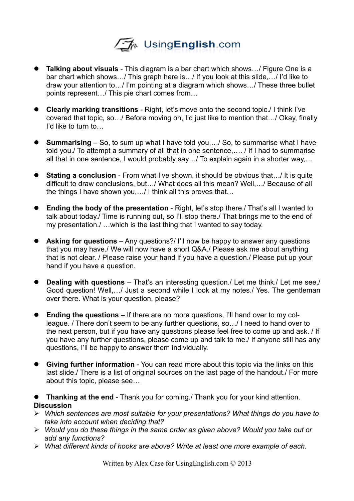

- **Talking about visuals** This diagram is a bar chart which shows…/ Figure One is a bar chart which shows…/ This graph here is…/ If you look at this slide,…/ I'd like to draw your attention to…/ I'm pointing at a diagram which shows…/ These three bullet points represent…/ This pie chart comes from…
- **Clearly marking transitions** Right, let's move onto the second topic./ I think I've covered that topic, so…/ Before moving on, I'd just like to mention that…/ Okay, finally I'd like to turn to…
- **Summarising** So, to sum up what I have told you,…/ So, to summarise what I have told you./ To attempt a summary of all that in one sentence,…. / If I had to summarise all that in one sentence, I would probably say…/ To explain again in a shorter way,…
- **Stating a conclusion** From what I've shown, it should be obvious that…/ It is quite difficult to draw conclusions, but…/ What does all this mean? Well,…/ Because of all the things I have shown you,…/ I think all this proves that…
- **Ending the body of the presentation** Right, let's stop there./ That's all I wanted to talk about today./ Time is running out, so I'll stop there./ That brings me to the end of my presentation./ …which is the last thing that I wanted to say today.
- **Asking for questions** Any questions?/ I'll now be happy to answer any questions that you may have./ We will now have a short Q&A./ Please ask me about anything that is not clear. / Please raise your hand if you have a question./ Please put up your hand if you have a question.
- **Dealing with questions** That's an interesting question./ Let me think./ Let me see./ Good question! Well,…/ Just a second while I look at my notes./ Yes. The gentleman over there. What is your question, please?
- **Ending the questions** If there are no more questions, I'll hand over to my colleague. / There don't seem to be any further questions, so…/ I need to hand over to the next person, but if you have any questions please feel free to come up and ask. / If you have any further questions, please come up and talk to me./ If anyone still has any questions, I'll be happy to answer them individually.
- **Giving further information** You can read more about this topic via the links on this last slide./ There is a list of original sources on the last page of the handout./ For more about this topic, please see…

 **Thanking at the end** - Thank you for coming./ Thank you for your kind attention. **Discussion**

- *Which sentences are most suitable for your presentations? What things do you have to take into account when deciding that?*
- *Would you do these things in the same order as given above? Would you take out or add any functions?*
- *What different kinds of hooks are above? Write at least one more example of each.*